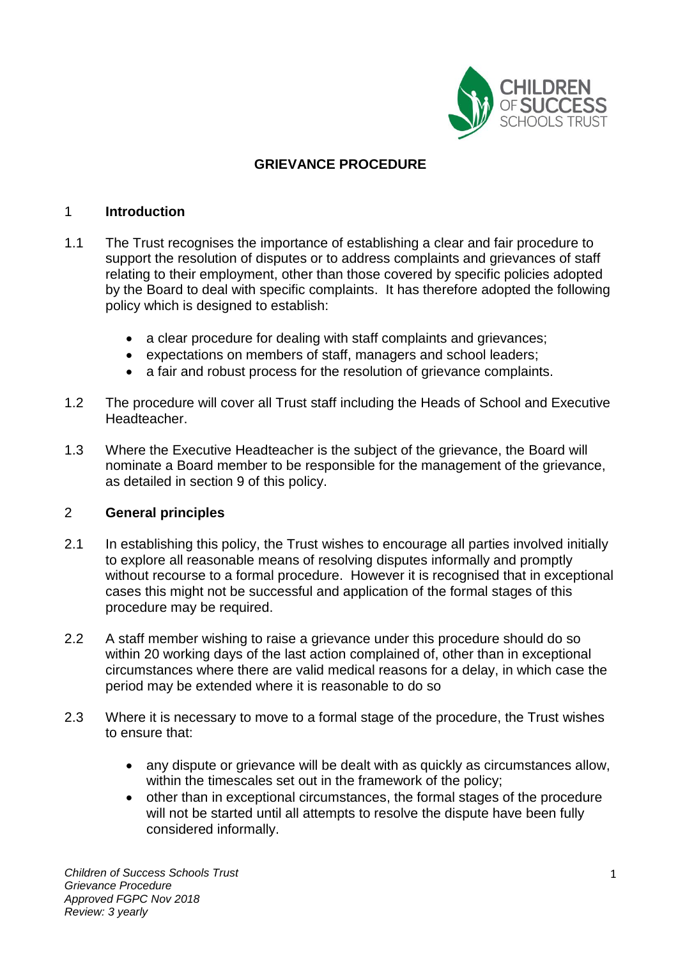

## **GRIEVANCE PROCEDURE**

#### 1 **Introduction**

- 1.1 The Trust recognises the importance of establishing a clear and fair procedure to support the resolution of disputes or to address complaints and grievances of staff relating to their employment, other than those covered by specific policies adopted by the Board to deal with specific complaints. It has therefore adopted the following policy which is designed to establish:
	- a clear procedure for dealing with staff complaints and grievances;
	- expectations on members of staff, managers and school leaders;
	- a fair and robust process for the resolution of grievance complaints.
- 1.2 The procedure will cover all Trust staff including the Heads of School and Executive Headteacher.
- 1.3 Where the Executive Headteacher is the subject of the grievance, the Board will nominate a Board member to be responsible for the management of the grievance, as detailed in section 9 of this policy.

## 2 **General principles**

- 2.1 In establishing this policy, the Trust wishes to encourage all parties involved initially to explore all reasonable means of resolving disputes informally and promptly without recourse to a formal procedure. However it is recognised that in exceptional cases this might not be successful and application of the formal stages of this procedure may be required.
- 2.2 A staff member wishing to raise a grievance under this procedure should do so within 20 working days of the last action complained of, other than in exceptional circumstances where there are valid medical reasons for a delay, in which case the period may be extended where it is reasonable to do so
- 2.3 Where it is necessary to move to a formal stage of the procedure, the Trust wishes to ensure that:
	- any dispute or grievance will be dealt with as quickly as circumstances allow, within the timescales set out in the framework of the policy;
	- other than in exceptional circumstances, the formal stages of the procedure will not be started until all attempts to resolve the dispute have been fully considered informally.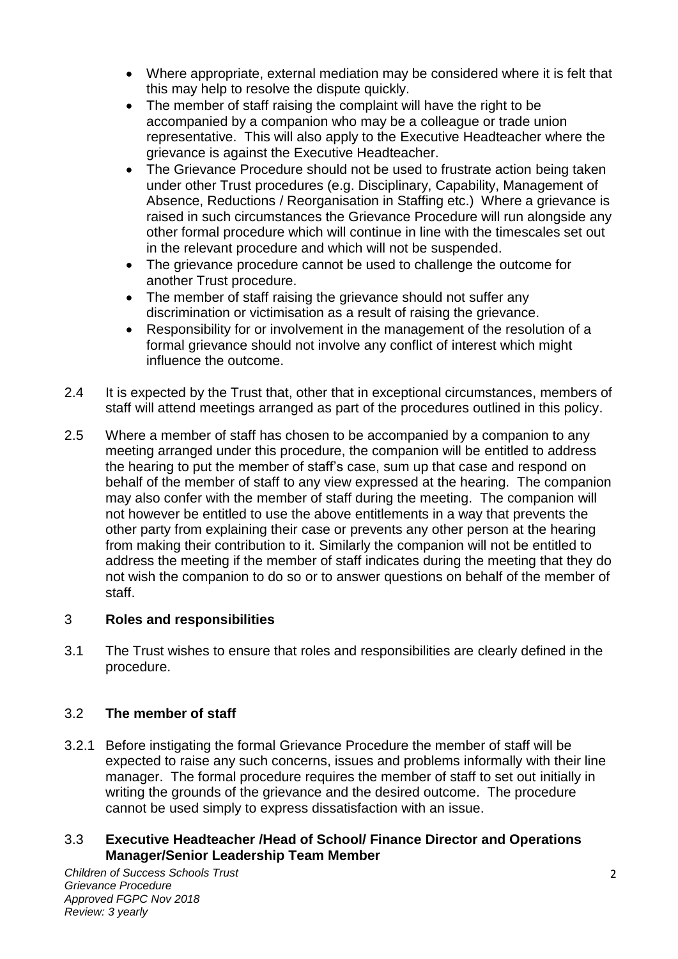- Where appropriate, external mediation may be considered where it is felt that this may help to resolve the dispute quickly.
- The member of staff raising the complaint will have the right to be accompanied by a companion who may be a colleague or trade union representative. This will also apply to the Executive Headteacher where the grievance is against the Executive Headteacher.
- The Grievance Procedure should not be used to frustrate action being taken under other Trust procedures (e.g. Disciplinary, Capability, Management of Absence, Reductions / Reorganisation in Staffing etc.) Where a grievance is raised in such circumstances the Grievance Procedure will run alongside any other formal procedure which will continue in line with the timescales set out in the relevant procedure and which will not be suspended.
- The grievance procedure cannot be used to challenge the outcome for another Trust procedure.
- The member of staff raising the grievance should not suffer any discrimination or victimisation as a result of raising the grievance.
- Responsibility for or involvement in the management of the resolution of a formal grievance should not involve any conflict of interest which might influence the outcome.
- 2.4 It is expected by the Trust that, other that in exceptional circumstances, members of staff will attend meetings arranged as part of the procedures outlined in this policy.
- 2.5 Where a member of staff has chosen to be accompanied by a companion to any meeting arranged under this procedure, the companion will be entitled to address the hearing to put the member of staff's case, sum up that case and respond on behalf of the member of staff to any view expressed at the hearing. The companion may also confer with the member of staff during the meeting. The companion will not however be entitled to use the above entitlements in a way that prevents the other party from explaining their case or prevents any other person at the hearing from making their contribution to it. Similarly the companion will not be entitled to address the meeting if the member of staff indicates during the meeting that they do not wish the companion to do so or to answer questions on behalf of the member of staff.

# 3 **Roles and responsibilities**

3.1 The Trust wishes to ensure that roles and responsibilities are clearly defined in the procedure.

# 3.2 **The member of staff**

3.2.1 Before instigating the formal Grievance Procedure the member of staff will be expected to raise any such concerns, issues and problems informally with their line manager. The formal procedure requires the member of staff to set out initially in writing the grounds of the grievance and the desired outcome. The procedure cannot be used simply to express dissatisfaction with an issue.

## 3.3 **Executive Headteacher /Head of School/ Finance Director and Operations Manager/Senior Leadership Team Member**

*Children of Success Schools Trust Grievance Procedure Approved FGPC Nov 2018 Review: 3 yearly*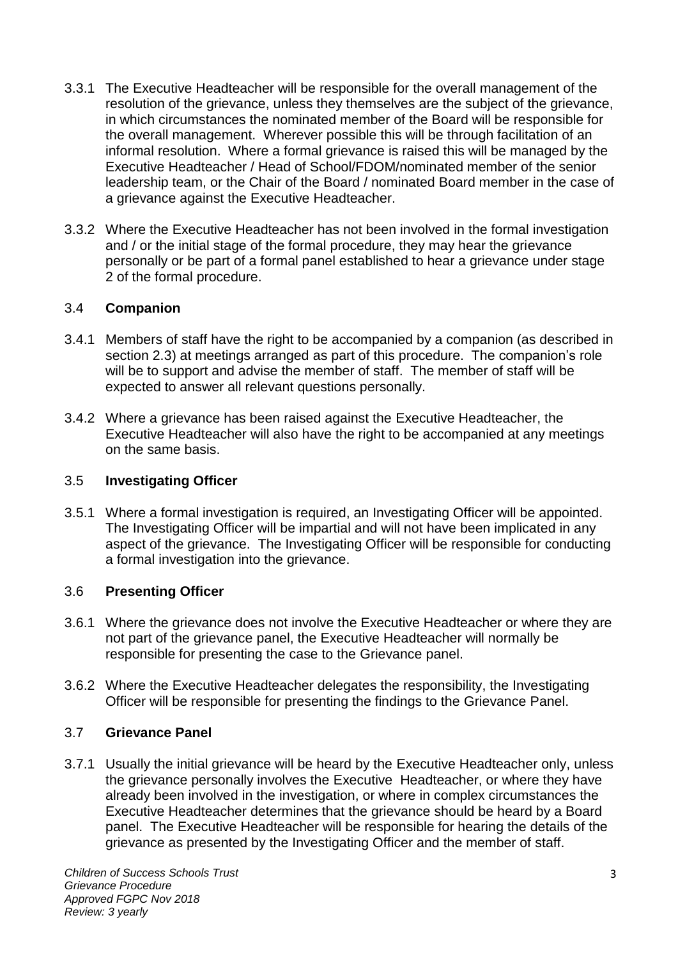- 3.3.1 The Executive Headteacher will be responsible for the overall management of the resolution of the grievance, unless they themselves are the subject of the grievance, in which circumstances the nominated member of the Board will be responsible for the overall management. Wherever possible this will be through facilitation of an informal resolution. Where a formal grievance is raised this will be managed by the Executive Headteacher / Head of School/FDOM/nominated member of the senior leadership team, or the Chair of the Board / nominated Board member in the case of a grievance against the Executive Headteacher.
- 3.3.2 Where the Executive Headteacher has not been involved in the formal investigation and / or the initial stage of the formal procedure, they may hear the grievance personally or be part of a formal panel established to hear a grievance under stage 2 of the formal procedure.

## 3.4 **Companion**

- 3.4.1 Members of staff have the right to be accompanied by a companion (as described in section 2.3) at meetings arranged as part of this procedure. The companion's role will be to support and advise the member of staff. The member of staff will be expected to answer all relevant questions personally.
- 3.4.2 Where a grievance has been raised against the Executive Headteacher, the Executive Headteacher will also have the right to be accompanied at any meetings on the same basis.

## 3.5 **Investigating Officer**

3.5.1 Where a formal investigation is required, an Investigating Officer will be appointed. The Investigating Officer will be impartial and will not have been implicated in any aspect of the grievance. The Investigating Officer will be responsible for conducting a formal investigation into the grievance.

# 3.6 **Presenting Officer**

- 3.6.1 Where the grievance does not involve the Executive Headteacher or where they are not part of the grievance panel, the Executive Headteacher will normally be responsible for presenting the case to the Grievance panel.
- 3.6.2 Where the Executive Headteacher delegates the responsibility, the Investigating Officer will be responsible for presenting the findings to the Grievance Panel.

## 3.7 **Grievance Panel**

3.7.1 Usually the initial grievance will be heard by the Executive Headteacher only, unless the grievance personally involves the Executive Headteacher, or where they have already been involved in the investigation, or where in complex circumstances the Executive Headteacher determines that the grievance should be heard by a Board panel. The Executive Headteacher will be responsible for hearing the details of the grievance as presented by the Investigating Officer and the member of staff.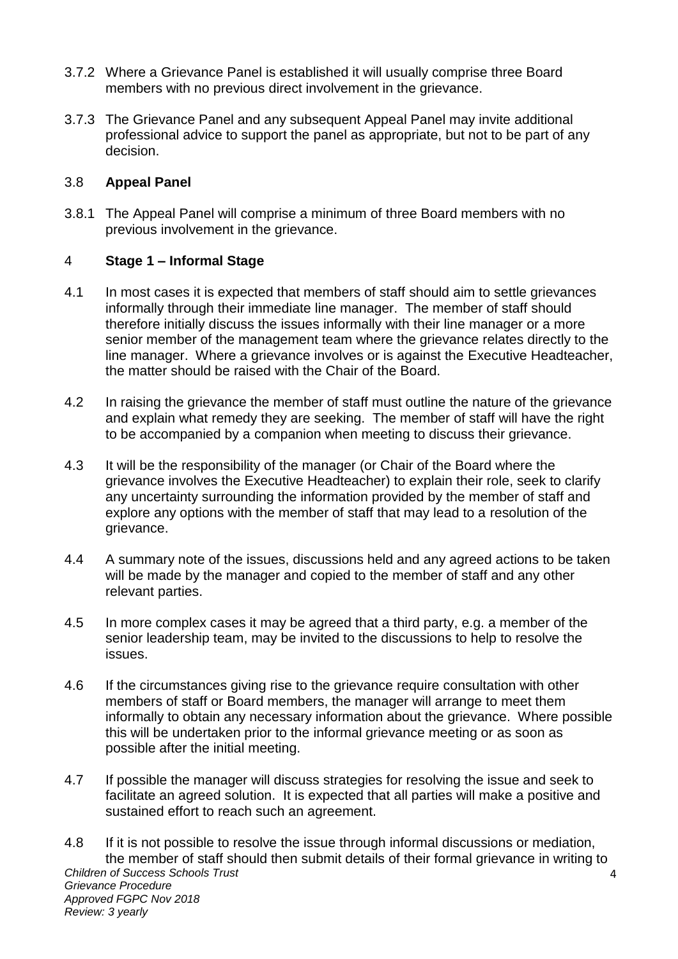- 3.7.2 Where a Grievance Panel is established it will usually comprise three Board members with no previous direct involvement in the grievance.
- 3.7.3 The Grievance Panel and any subsequent Appeal Panel may invite additional professional advice to support the panel as appropriate, but not to be part of any decision.

## 3.8 **Appeal Panel**

3.8.1 The Appeal Panel will comprise a minimum of three Board members with no previous involvement in the grievance.

# 4 **Stage 1 – Informal Stage**

- 4.1 In most cases it is expected that members of staff should aim to settle grievances informally through their immediate line manager. The member of staff should therefore initially discuss the issues informally with their line manager or a more senior member of the management team where the grievance relates directly to the line manager. Where a grievance involves or is against the Executive Headteacher, the matter should be raised with the Chair of the Board.
- 4.2 In raising the grievance the member of staff must outline the nature of the grievance and explain what remedy they are seeking. The member of staff will have the right to be accompanied by a companion when meeting to discuss their grievance.
- 4.3 It will be the responsibility of the manager (or Chair of the Board where the grievance involves the Executive Headteacher) to explain their role, seek to clarify any uncertainty surrounding the information provided by the member of staff and explore any options with the member of staff that may lead to a resolution of the grievance.
- 4.4 A summary note of the issues, discussions held and any agreed actions to be taken will be made by the manager and copied to the member of staff and any other relevant parties.
- 4.5 In more complex cases it may be agreed that a third party, e.g. a member of the senior leadership team, may be invited to the discussions to help to resolve the issues.
- 4.6 If the circumstances giving rise to the grievance require consultation with other members of staff or Board members, the manager will arrange to meet them informally to obtain any necessary information about the grievance. Where possible this will be undertaken prior to the informal grievance meeting or as soon as possible after the initial meeting.
- 4.7 If possible the manager will discuss strategies for resolving the issue and seek to facilitate an agreed solution. It is expected that all parties will make a positive and sustained effort to reach such an agreement.
- *Children of Success Schools Trust Grievance Procedure Approved FGPC Nov 2018 Review: 3 yearly*  $\overline{A}$ 4.8 If it is not possible to resolve the issue through informal discussions or mediation, the member of staff should then submit details of their formal grievance in writing to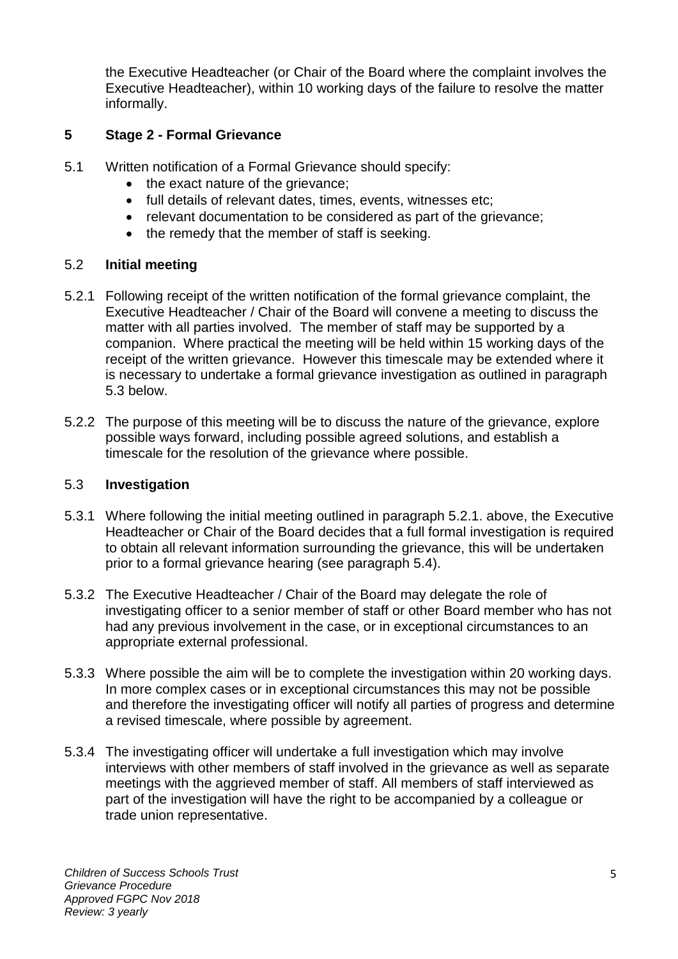the Executive Headteacher (or Chair of the Board where the complaint involves the Executive Headteacher), within 10 working days of the failure to resolve the matter informally.

# **5 Stage 2 - Formal Grievance**

- 5.1 Written notification of a Formal Grievance should specify:
	- the exact nature of the grievance;
	- full details of relevant dates, times, events, witnesses etc;
	- relevant documentation to be considered as part of the grievance;
	- the remedy that the member of staff is seeking.

# 5.2 **Initial meeting**

- 5.2.1 Following receipt of the written notification of the formal grievance complaint, the Executive Headteacher / Chair of the Board will convene a meeting to discuss the matter with all parties involved. The member of staff may be supported by a companion. Where practical the meeting will be held within 15 working days of the receipt of the written grievance. However this timescale may be extended where it is necessary to undertake a formal grievance investigation as outlined in paragraph 5.3 below.
- 5.2.2 The purpose of this meeting will be to discuss the nature of the grievance, explore possible ways forward, including possible agreed solutions, and establish a timescale for the resolution of the grievance where possible.

# 5.3 **Investigation**

- 5.3.1 Where following the initial meeting outlined in paragraph 5.2.1. above, the Executive Headteacher or Chair of the Board decides that a full formal investigation is required to obtain all relevant information surrounding the grievance, this will be undertaken prior to a formal grievance hearing (see paragraph 5.4).
- 5.3.2 The Executive Headteacher / Chair of the Board may delegate the role of investigating officer to a senior member of staff or other Board member who has not had any previous involvement in the case, or in exceptional circumstances to an appropriate external professional.
- 5.3.3 Where possible the aim will be to complete the investigation within 20 working days. In more complex cases or in exceptional circumstances this may not be possible and therefore the investigating officer will notify all parties of progress and determine a revised timescale, where possible by agreement.
- 5.3.4 The investigating officer will undertake a full investigation which may involve interviews with other members of staff involved in the grievance as well as separate meetings with the aggrieved member of staff. All members of staff interviewed as part of the investigation will have the right to be accompanied by a colleague or trade union representative.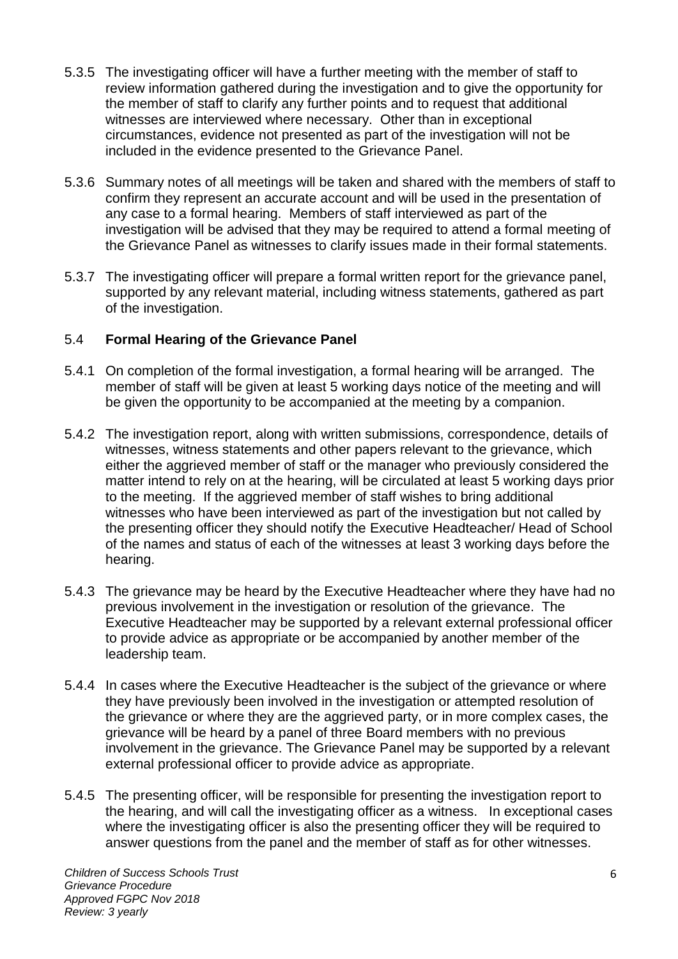- 5.3.5 The investigating officer will have a further meeting with the member of staff to review information gathered during the investigation and to give the opportunity for the member of staff to clarify any further points and to request that additional witnesses are interviewed where necessary. Other than in exceptional circumstances, evidence not presented as part of the investigation will not be included in the evidence presented to the Grievance Panel.
- 5.3.6 Summary notes of all meetings will be taken and shared with the members of staff to confirm they represent an accurate account and will be used in the presentation of any case to a formal hearing. Members of staff interviewed as part of the investigation will be advised that they may be required to attend a formal meeting of the Grievance Panel as witnesses to clarify issues made in their formal statements.
- 5.3.7 The investigating officer will prepare a formal written report for the grievance panel, supported by any relevant material, including witness statements, gathered as part of the investigation.

# 5.4 **Formal Hearing of the Grievance Panel**

- 5.4.1 On completion of the formal investigation, a formal hearing will be arranged. The member of staff will be given at least 5 working days notice of the meeting and will be given the opportunity to be accompanied at the meeting by a companion.
- 5.4.2 The investigation report, along with written submissions, correspondence, details of witnesses, witness statements and other papers relevant to the grievance, which either the aggrieved member of staff or the manager who previously considered the matter intend to rely on at the hearing, will be circulated at least 5 working days prior to the meeting. If the aggrieved member of staff wishes to bring additional witnesses who have been interviewed as part of the investigation but not called by the presenting officer they should notify the Executive Headteacher/ Head of School of the names and status of each of the witnesses at least 3 working days before the hearing.
- 5.4.3 The grievance may be heard by the Executive Headteacher where they have had no previous involvement in the investigation or resolution of the grievance. The Executive Headteacher may be supported by a relevant external professional officer to provide advice as appropriate or be accompanied by another member of the leadership team.
- 5.4.4 In cases where the Executive Headteacher is the subject of the grievance or where they have previously been involved in the investigation or attempted resolution of the grievance or where they are the aggrieved party, or in more complex cases, the grievance will be heard by a panel of three Board members with no previous involvement in the grievance. The Grievance Panel may be supported by a relevant external professional officer to provide advice as appropriate.
- 5.4.5 The presenting officer, will be responsible for presenting the investigation report to the hearing, and will call the investigating officer as a witness. In exceptional cases where the investigating officer is also the presenting officer they will be required to answer questions from the panel and the member of staff as for other witnesses.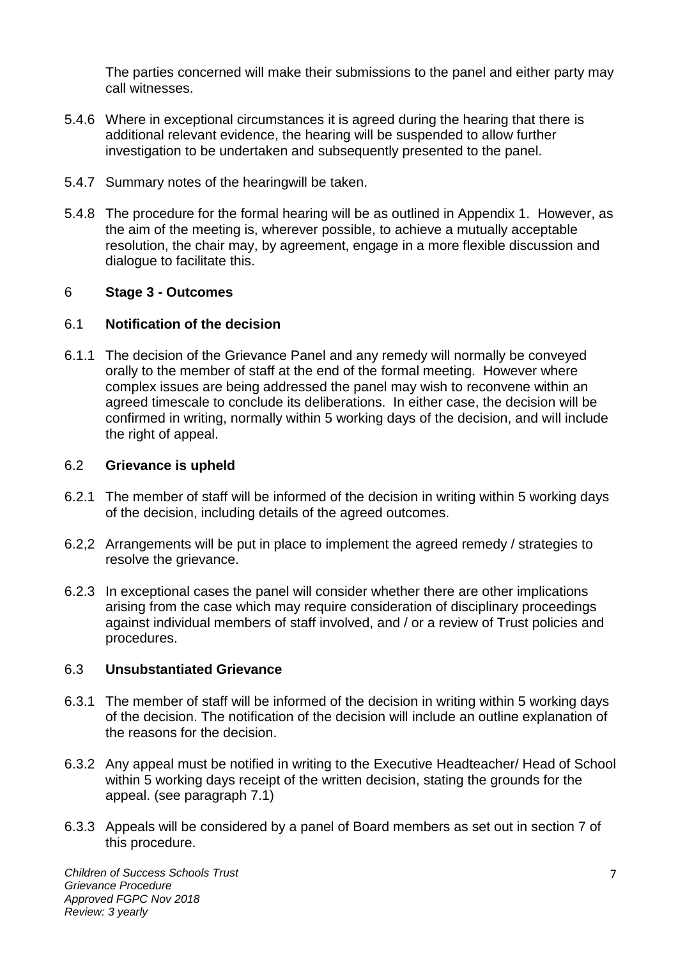The parties concerned will make their submissions to the panel and either party may call witnesses.

- 5.4.6 Where in exceptional circumstances it is agreed during the hearing that there is additional relevant evidence, the hearing will be suspended to allow further investigation to be undertaken and subsequently presented to the panel.
- 5.4.7 Summary notes of the hearingwill be taken.
- 5.4.8 The procedure for the formal hearing will be as outlined in Appendix 1. However, as the aim of the meeting is, wherever possible, to achieve a mutually acceptable resolution, the chair may, by agreement, engage in a more flexible discussion and dialogue to facilitate this.

## 6 **Stage 3 - Outcomes**

## 6.1 **Notification of the decision**

6.1.1 The decision of the Grievance Panel and any remedy will normally be conveyed orally to the member of staff at the end of the formal meeting. However where complex issues are being addressed the panel may wish to reconvene within an agreed timescale to conclude its deliberations. In either case, the decision will be confirmed in writing, normally within 5 working days of the decision, and will include the right of appeal.

#### 6.2 **Grievance is upheld**

- 6.2.1 The member of staff will be informed of the decision in writing within 5 working days of the decision, including details of the agreed outcomes.
- 6.2,2 Arrangements will be put in place to implement the agreed remedy / strategies to resolve the grievance.
- 6.2.3 In exceptional cases the panel will consider whether there are other implications arising from the case which may require consideration of disciplinary proceedings against individual members of staff involved, and / or a review of Trust policies and procedures.

## 6.3 **Unsubstantiated Grievance**

- 6.3.1 The member of staff will be informed of the decision in writing within 5 working days of the decision. The notification of the decision will include an outline explanation of the reasons for the decision.
- 6.3.2 Any appeal must be notified in writing to the Executive Headteacher/ Head of School within 5 working days receipt of the written decision, stating the grounds for the appeal. (see paragraph 7.1)
- 6.3.3 Appeals will be considered by a panel of Board members as set out in section 7 of this procedure.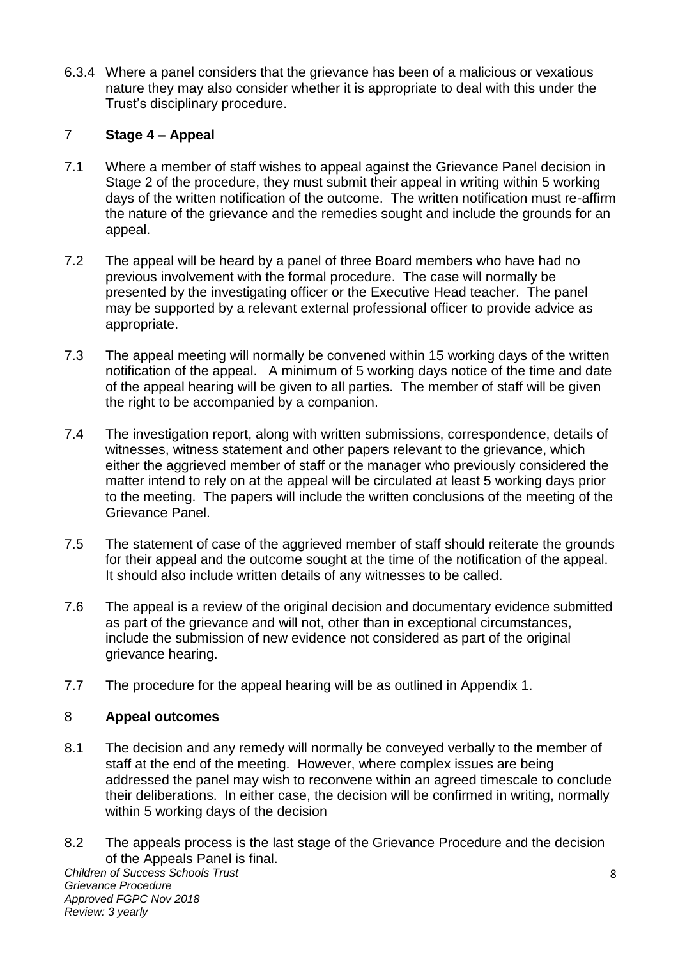6.3.4 Where a panel considers that the grievance has been of a malicious or vexatious nature they may also consider whether it is appropriate to deal with this under the Trust's disciplinary procedure.

# 7 **Stage 4 – Appeal**

- 7.1 Where a member of staff wishes to appeal against the Grievance Panel decision in Stage 2 of the procedure, they must submit their appeal in writing within 5 working days of the written notification of the outcome. The written notification must re-affirm the nature of the grievance and the remedies sought and include the grounds for an appeal.
- 7.2 The appeal will be heard by a panel of three Board members who have had no previous involvement with the formal procedure. The case will normally be presented by the investigating officer or the Executive Head teacher. The panel may be supported by a relevant external professional officer to provide advice as appropriate.
- 7.3 The appeal meeting will normally be convened within 15 working days of the written notification of the appeal. A minimum of 5 working days notice of the time and date of the appeal hearing will be given to all parties. The member of staff will be given the right to be accompanied by a companion.
- 7.4 The investigation report, along with written submissions, correspondence, details of witnesses, witness statement and other papers relevant to the grievance, which either the aggrieved member of staff or the manager who previously considered the matter intend to rely on at the appeal will be circulated at least 5 working days prior to the meeting. The papers will include the written conclusions of the meeting of the Grievance Panel.
- 7.5 The statement of case of the aggrieved member of staff should reiterate the grounds for their appeal and the outcome sought at the time of the notification of the appeal. It should also include written details of any witnesses to be called.
- 7.6 The appeal is a review of the original decision and documentary evidence submitted as part of the grievance and will not, other than in exceptional circumstances, include the submission of new evidence not considered as part of the original grievance hearing.
- 7.7 The procedure for the appeal hearing will be as outlined in Appendix 1.

# 8 **Appeal outcomes**

- 8.1 The decision and any remedy will normally be conveyed verbally to the member of staff at the end of the meeting. However, where complex issues are being addressed the panel may wish to reconvene within an agreed timescale to conclude their deliberations. In either case, the decision will be confirmed in writing, normally within 5 working days of the decision
- 8.2 The appeals process is the last stage of the Grievance Procedure and the decision of the Appeals Panel is final.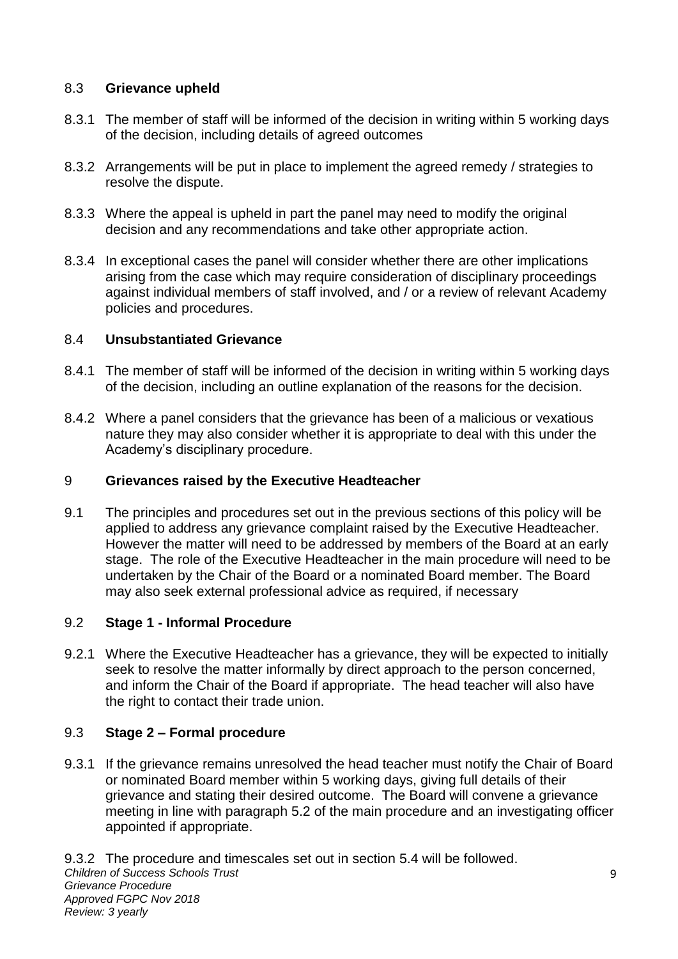# 8.3 **Grievance upheld**

- 8.3.1 The member of staff will be informed of the decision in writing within 5 working days of the decision, including details of agreed outcomes
- 8.3.2 Arrangements will be put in place to implement the agreed remedy / strategies to resolve the dispute.
- 8.3.3 Where the appeal is upheld in part the panel may need to modify the original decision and any recommendations and take other appropriate action.
- 8.3.4 In exceptional cases the panel will consider whether there are other implications arising from the case which may require consideration of disciplinary proceedings against individual members of staff involved, and / or a review of relevant Academy policies and procedures.

# 8.4 **Unsubstantiated Grievance**

- 8.4.1 The member of staff will be informed of the decision in writing within 5 working days of the decision, including an outline explanation of the reasons for the decision.
- 8.4.2 Where a panel considers that the grievance has been of a malicious or vexatious nature they may also consider whether it is appropriate to deal with this under the Academy's disciplinary procedure.

# 9 **Grievances raised by the Executive Headteacher**

9.1 The principles and procedures set out in the previous sections of this policy will be applied to address any grievance complaint raised by the Executive Headteacher. However the matter will need to be addressed by members of the Board at an early stage. The role of the Executive Headteacher in the main procedure will need to be undertaken by the Chair of the Board or a nominated Board member. The Board may also seek external professional advice as required, if necessary

# 9.2 **Stage 1 - Informal Procedure**

9.2.1 Where the Executive Headteacher has a grievance, they will be expected to initially seek to resolve the matter informally by direct approach to the person concerned, and inform the Chair of the Board if appropriate. The head teacher will also have the right to contact their trade union.

# 9.3 **Stage 2 – Formal procedure**

9.3.1 If the grievance remains unresolved the head teacher must notify the Chair of Board or nominated Board member within 5 working days, giving full details of their grievance and stating their desired outcome. The Board will convene a grievance meeting in line with paragraph 5.2 of the main procedure and an investigating officer appointed if appropriate.

*Children of Success Schools Trust Grievance Procedure Approved FGPC Nov 2018 Review: 3 yearly* 9.3.2 The procedure and timescales set out in section 5.4 will be followed.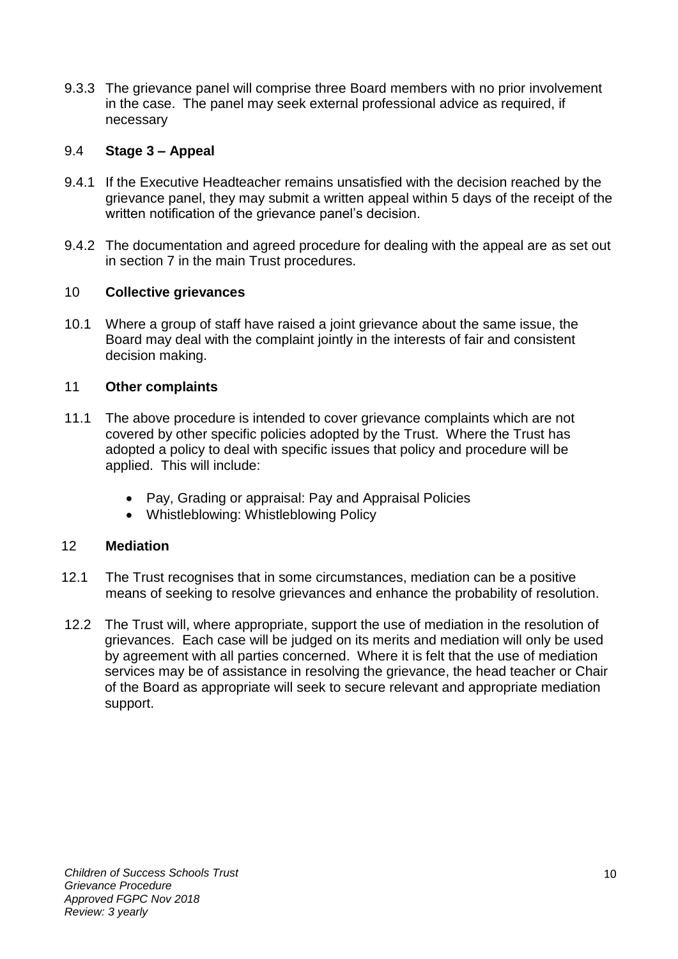9.3.3 The grievance panel will comprise three Board members with no prior involvement in the case. The panel may seek external professional advice as required, if necessary

## 9.4 **Stage 3 – Appeal**

- 9.4.1 If the Executive Headteacher remains unsatisfied with the decision reached by the grievance panel, they may submit a written appeal within 5 days of the receipt of the written notification of the grievance panel's decision.
- 9.4.2 The documentation and agreed procedure for dealing with the appeal are as set out in section 7 in the main Trust procedures.

## 10 **Collective grievances**

10.1 Where a group of staff have raised a joint grievance about the same issue, the Board may deal with the complaint jointly in the interests of fair and consistent decision making.

## 11 **Other complaints**

- 11.1 The above procedure is intended to cover grievance complaints which are not covered by other specific policies adopted by the Trust. Where the Trust has adopted a policy to deal with specific issues that policy and procedure will be applied. This will include:
	- Pay, Grading or appraisal: Pay and Appraisal Policies
	- Whistleblowing: Whistleblowing Policy

## 12 **Mediation**

- 12.1 The Trust recognises that in some circumstances, mediation can be a positive means of seeking to resolve grievances and enhance the probability of resolution.
- 12.2 The Trust will, where appropriate, support the use of mediation in the resolution of grievances. Each case will be judged on its merits and mediation will only be used by agreement with all parties concerned. Where it is felt that the use of mediation services may be of assistance in resolving the grievance, the head teacher or Chair of the Board as appropriate will seek to secure relevant and appropriate mediation support.